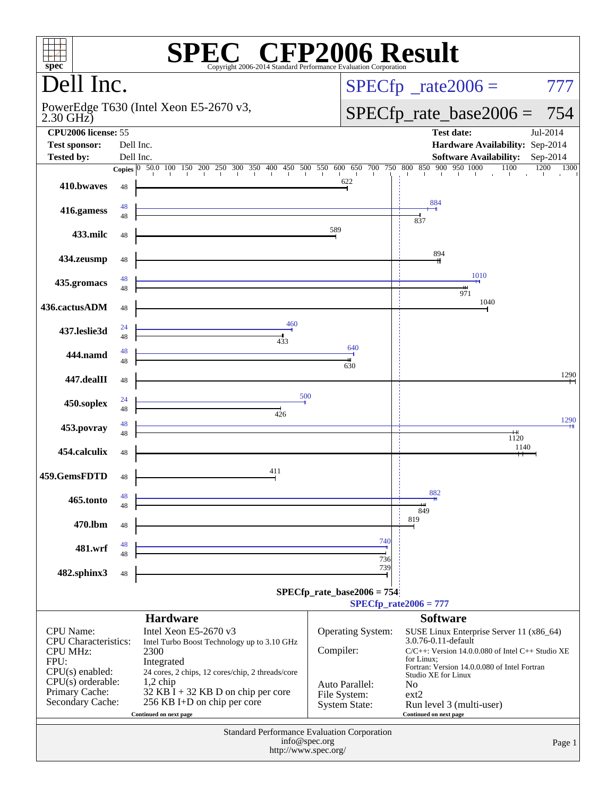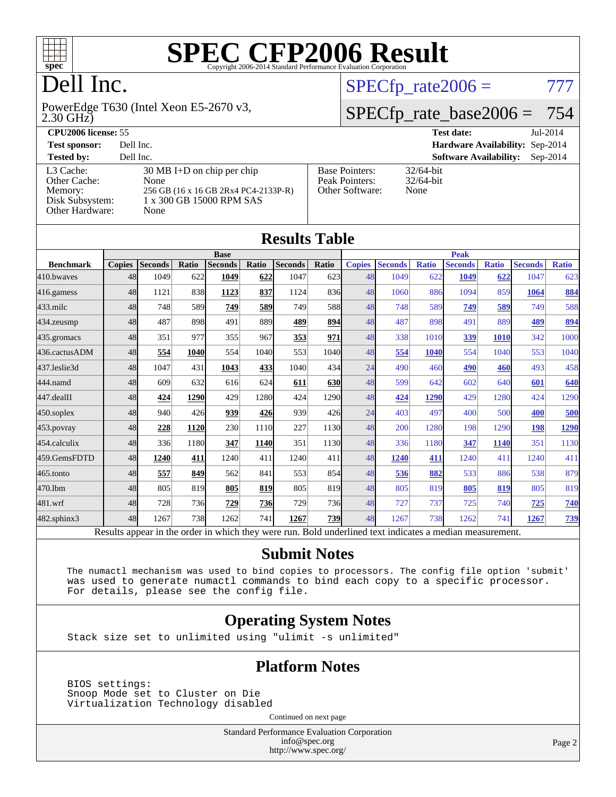

# Dell Inc.

2.30 GHz) PowerEdge T630 (Intel Xeon E5-2670 v3,  $SPECTp_rate2006 = 777$ 

# [SPECfp\\_rate\\_base2006 =](http://www.spec.org/auto/cpu2006/Docs/result-fields.html#SPECfpratebase2006) 754

| <b>CPU2006 license: 55</b>                                                 |                                                                                                                          |                                                            | <b>Test date:</b><br>Jul-2014               |
|----------------------------------------------------------------------------|--------------------------------------------------------------------------------------------------------------------------|------------------------------------------------------------|---------------------------------------------|
| <b>Test sponsor:</b>                                                       | Dell Inc.                                                                                                                |                                                            | Hardware Availability: Sep-2014             |
| <b>Tested by:</b>                                                          | Dell Inc.                                                                                                                |                                                            | <b>Software Availability:</b><br>$Sep-2014$ |
| L3 Cache:<br>Other Cache:<br>Memory:<br>Disk Subsystem:<br>Other Hardware: | $30 \text{ MB I+D}$ on chip per chip<br>None<br>256 GB (16 x 16 GB 2Rx4 PC4-2133P-R)<br>1 x 300 GB 15000 RPM SAS<br>None | <b>Base Pointers:</b><br>Peak Pointers:<br>Other Software: | $32/64$ -bit<br>$32/64$ -bit<br>None        |

|                  |               |                |       |                                                                                                          |             | <b>Results Table</b> |              |               |                |              |                |              |                |              |
|------------------|---------------|----------------|-------|----------------------------------------------------------------------------------------------------------|-------------|----------------------|--------------|---------------|----------------|--------------|----------------|--------------|----------------|--------------|
|                  |               |                |       | <b>Base</b>                                                                                              |             |                      |              |               |                |              | <b>Peak</b>    |              |                |              |
| <b>Benchmark</b> | <b>Copies</b> | <b>Seconds</b> | Ratio | <b>Seconds</b>                                                                                           | Ratio       | <b>Seconds</b>       | <b>Ratio</b> | <b>Copies</b> | <b>Seconds</b> | <b>Ratio</b> | <b>Seconds</b> | <b>Ratio</b> | <b>Seconds</b> | <b>Ratio</b> |
| 410.bwaves       | 48            | 1049           | 622   | 1049                                                                                                     | 622         | 1047                 | 623          | 48            | 1049           | 622          | 1049           | 622          | 1047           | 623          |
| 416.gamess       | 48            | 1121           | 838   | 1123                                                                                                     | 837         | 1124                 | 836          | 48            | 1060           | 886          | 1094           | 859          | 1064           | 884          |
| $433$ .milc      | 48            | 748            | 589   | 749                                                                                                      | 589         | 749                  | 588          | 48            | 748            | 589          | 749            | 589          | 749            | 588          |
| 434.zeusmp       | 48            | 487            | 898   | 491                                                                                                      | 889l        | 489                  | 894          | 48            | 487            | 898          | 491            | 889          | 489            | 894          |
| 435.gromacs      | 48            | 351            | 977   | 355                                                                                                      | 967         | 353                  | 971          | 48            | 338            | 1010         | 339            | 1010         | 342            | 1000         |
| 436.cactusADM    | 48            | 554            | 1040  | 554                                                                                                      | 1040        | 553                  | 1040         | 48            | 554            | 1040         | 554            | 1040         | 553            | 1040         |
| 437.leslie3d     | 48            | 1047           | 431   | 1043                                                                                                     | 433         | 1040                 | 434          | 24            | 490            | 460          | 490            | 460          | 493            | 458          |
| 444.namd         | 48            | 609            | 632   | 616                                                                                                      | 624         | 611                  | 630          | 48            | 599            | 642          | 602            | 640          | 601            | 640          |
| 447.dealII       | 48            | 424            | 1290  | 429                                                                                                      | 1280        | 424                  | 1290         | 48            | 424            | 1290         | 429            | 1280         | 424            | 1290         |
| 450.soplex       | 48            | 940            | 426   | 939                                                                                                      | 426         | 939                  | 426          | 24            | 403            | 497          | 400            | 500          | 400            | 500          |
| 453.povray       | 48            | 228            | 1120  | 230                                                                                                      | 1110        | 227                  | 1130         | 48            | 200            | 1280         | 198            | 1290         | 198            | 1290         |
| 454.calculix     | 48            | 336            | 1180  | 347                                                                                                      | <b>1140</b> | 351                  | 1130         | 48            | 336            | 1180         | 347            | 1140         | 351            | 1130         |
| 459.GemsFDTD     | 48            | 1240           | 411   | 1240                                                                                                     | 411         | 1240                 | 411          | 48            | 1240           | 411          | 1240           | 411          | 1240           | 411          |
| 465.tonto        | 48            | 557            | 849   | 562                                                                                                      | 841         | 553                  | 854          | 48            | 536            | 882          | 533            | 886          | 538            | 879          |
| 470.1bm          | 48            | 805            | 819   | 805                                                                                                      | 819         | 805                  | 819          | 48            | 805            | 819          | 805            | 819          | 805            | 819          |
| 481.wrf          | 48            | 728            | 736   | 729                                                                                                      | <b>736</b>  | 729                  | 736          | 48            | 727            | 737          | 725            | 740          | 725            | 740          |
| 482.sphinx3      | 48            | 1267           | 738   | 1262                                                                                                     | 741         | 1267                 | <b>739</b>   | 48            | 1267           | 738          | 1262           | 741          | 1267           | <b>739</b>   |
|                  |               |                |       | Results appear in the order in which they were run. Bold underlined text indicates a median measurement. |             |                      |              |               |                |              |                |              |                |              |

#### **[Submit Notes](http://www.spec.org/auto/cpu2006/Docs/result-fields.html#SubmitNotes)**

 The numactl mechanism was used to bind copies to processors. The config file option 'submit' was used to generate numactl commands to bind each copy to a specific processor. For details, please see the config file.

### **[Operating System Notes](http://www.spec.org/auto/cpu2006/Docs/result-fields.html#OperatingSystemNotes)**

Stack size set to unlimited using "ulimit -s unlimited"

### **[Platform Notes](http://www.spec.org/auto/cpu2006/Docs/result-fields.html#PlatformNotes)**

 BIOS settings: Snoop Mode set to Cluster on Die Virtualization Technology disabled

Continued on next page

Standard Performance Evaluation Corporation [info@spec.org](mailto:info@spec.org) <http://www.spec.org/>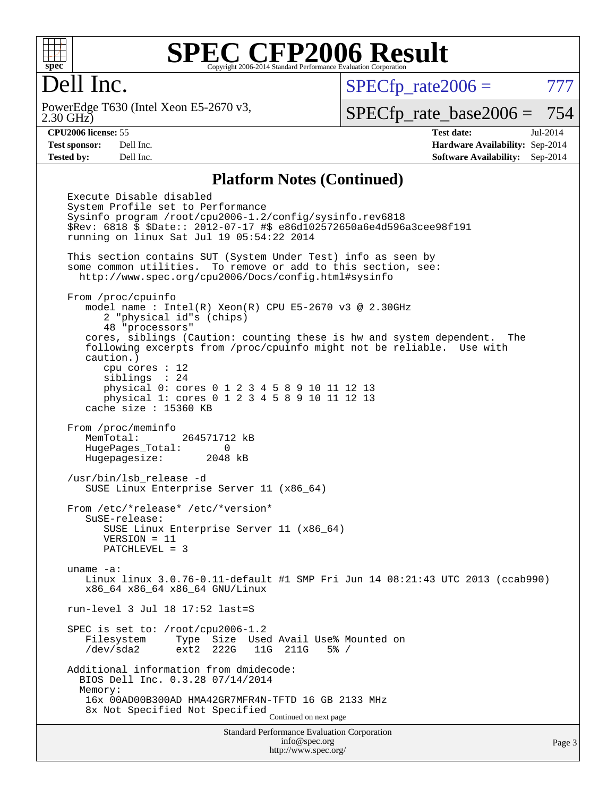

# Dell Inc.

2.30 GHz) PowerEdge T630 (Intel Xeon E5-2670 v3,  $SPECTp_rate2006 = 777$ 

[SPECfp\\_rate\\_base2006 =](http://www.spec.org/auto/cpu2006/Docs/result-fields.html#SPECfpratebase2006) 754

**[CPU2006 license:](http://www.spec.org/auto/cpu2006/Docs/result-fields.html#CPU2006license)** 55 **[Test date:](http://www.spec.org/auto/cpu2006/Docs/result-fields.html#Testdate)** Jul-2014 **[Test sponsor:](http://www.spec.org/auto/cpu2006/Docs/result-fields.html#Testsponsor)** Dell Inc. **[Hardware Availability:](http://www.spec.org/auto/cpu2006/Docs/result-fields.html#HardwareAvailability)** Sep-2014 **[Tested by:](http://www.spec.org/auto/cpu2006/Docs/result-fields.html#Testedby)** Dell Inc. **[Software Availability:](http://www.spec.org/auto/cpu2006/Docs/result-fields.html#SoftwareAvailability)** Sep-2014

#### **[Platform Notes \(Continued\)](http://www.spec.org/auto/cpu2006/Docs/result-fields.html#PlatformNotes)**

Standard Performance Evaluation Corporation [info@spec.org](mailto:info@spec.org) Execute Disable disabled System Profile set to Performance Sysinfo program /root/cpu2006-1.2/config/sysinfo.rev6818 \$Rev: 6818 \$ \$Date:: 2012-07-17 #\$ e86d102572650a6e4d596a3cee98f191 running on linux Sat Jul 19 05:54:22 2014 This section contains SUT (System Under Test) info as seen by some common utilities. To remove or add to this section, see: <http://www.spec.org/cpu2006/Docs/config.html#sysinfo> From /proc/cpuinfo model name : Intel(R) Xeon(R) CPU E5-2670 v3 @ 2.30GHz 2 "physical id"s (chips) 48 "processors" cores, siblings (Caution: counting these is hw and system dependent. The following excerpts from /proc/cpuinfo might not be reliable. Use with caution.) cpu cores : 12 siblings : 24 physical 0: cores 0 1 2 3 4 5 8 9 10 11 12 13 physical 1: cores 0 1 2 3 4 5 8 9 10 11 12 13 cache size : 15360 KB From /proc/meminfo MemTotal: 264571712 kB HugePages\_Total: 0 Hugepagesize: 2048 kB /usr/bin/lsb\_release -d SUSE Linux Enterprise Server 11 (x86\_64) From /etc/\*release\* /etc/\*version\* SuSE-release: SUSE Linux Enterprise Server 11 (x86\_64) VERSION = 11 PATCHLEVEL = 3 uname -a: Linux linux 3.0.76-0.11-default #1 SMP Fri Jun 14 08:21:43 UTC 2013 (ccab990) x86\_64 x86\_64 x86\_64 GNU/Linux run-level 3 Jul 18 17:52 last=S SPEC is set to: /root/cpu2006-1.2 Filesystem Type Size Used Avail Use% Mounted on /dev/sda2 ext2 222G 11G 211G 5% / Additional information from dmidecode: BIOS Dell Inc. 0.3.28 07/14/2014 Memory: 16x 00AD00B300AD HMA42GR7MFR4N-TFTD 16 GB 2133 MHz 8x Not Specified Not Specified Continued on next page

<http://www.spec.org/>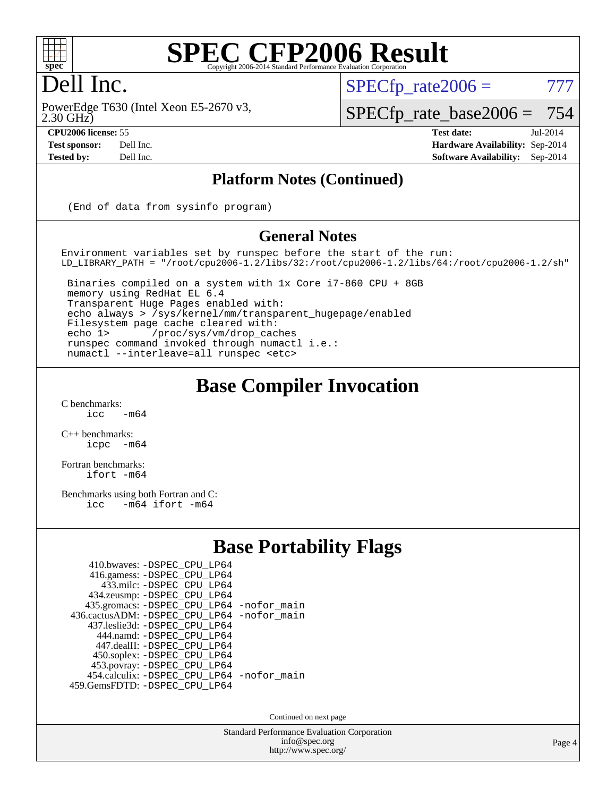

# Dell Inc.

2.30 GHz) PowerEdge T630 (Intel Xeon E5-2670 v3,

 $SPECTp\_rate2006 = 777$ 

[SPECfp\\_rate\\_base2006 =](http://www.spec.org/auto/cpu2006/Docs/result-fields.html#SPECfpratebase2006) 754

**[CPU2006 license:](http://www.spec.org/auto/cpu2006/Docs/result-fields.html#CPU2006license)** 55 **[Test date:](http://www.spec.org/auto/cpu2006/Docs/result-fields.html#Testdate)** Jul-2014 **[Test sponsor:](http://www.spec.org/auto/cpu2006/Docs/result-fields.html#Testsponsor)** Dell Inc. **[Hardware Availability:](http://www.spec.org/auto/cpu2006/Docs/result-fields.html#HardwareAvailability)** Sep-2014 **[Tested by:](http://www.spec.org/auto/cpu2006/Docs/result-fields.html#Testedby)** Dell Inc. **[Software Availability:](http://www.spec.org/auto/cpu2006/Docs/result-fields.html#SoftwareAvailability)** Sep-2014

### **[Platform Notes \(Continued\)](http://www.spec.org/auto/cpu2006/Docs/result-fields.html#PlatformNotes)**

(End of data from sysinfo program)

#### **[General Notes](http://www.spec.org/auto/cpu2006/Docs/result-fields.html#GeneralNotes)**

Environment variables set by runspec before the start of the run: LD\_LIBRARY\_PATH = "/root/cpu2006-1.2/libs/32:/root/cpu2006-1.2/libs/64:/root/cpu2006-1.2/sh"

 Binaries compiled on a system with 1x Core i7-860 CPU + 8GB memory using RedHat EL 6.4 Transparent Huge Pages enabled with: echo always > /sys/kernel/mm/transparent\_hugepage/enabled Filesystem page cache cleared with: echo 1> /proc/sys/vm/drop\_caches runspec command invoked through numactl i.e.: numactl --interleave=all runspec <etc>

### **[Base Compiler Invocation](http://www.spec.org/auto/cpu2006/Docs/result-fields.html#BaseCompilerInvocation)**

 $C$  benchmarks:<br>icc  $-m64$ 

[C++ benchmarks:](http://www.spec.org/auto/cpu2006/Docs/result-fields.html#CXXbenchmarks) [icpc -m64](http://www.spec.org/cpu2006/results/res2014q3/cpu2006-20140909-31319.flags.html#user_CXXbase_intel_icpc_64bit_bedb90c1146cab66620883ef4f41a67e)

[Fortran benchmarks](http://www.spec.org/auto/cpu2006/Docs/result-fields.html#Fortranbenchmarks): [ifort -m64](http://www.spec.org/cpu2006/results/res2014q3/cpu2006-20140909-31319.flags.html#user_FCbase_intel_ifort_64bit_ee9d0fb25645d0210d97eb0527dcc06e)

[Benchmarks using both Fortran and C](http://www.spec.org/auto/cpu2006/Docs/result-fields.html#BenchmarksusingbothFortranandC): [icc -m64](http://www.spec.org/cpu2006/results/res2014q3/cpu2006-20140909-31319.flags.html#user_CC_FCbase_intel_icc_64bit_0b7121f5ab7cfabee23d88897260401c) [ifort -m64](http://www.spec.org/cpu2006/results/res2014q3/cpu2006-20140909-31319.flags.html#user_CC_FCbase_intel_ifort_64bit_ee9d0fb25645d0210d97eb0527dcc06e)

## **[Base Portability Flags](http://www.spec.org/auto/cpu2006/Docs/result-fields.html#BasePortabilityFlags)**

| 410.bwaves: -DSPEC CPU LP64                |  |
|--------------------------------------------|--|
| 416.gamess: - DSPEC_CPU_LP64               |  |
| 433.milc: -DSPEC CPU LP64                  |  |
| 434.zeusmp: -DSPEC_CPU_LP64                |  |
| 435.gromacs: -DSPEC_CPU_LP64 -nofor_main   |  |
| 436.cactusADM: -DSPEC CPU LP64 -nofor main |  |
| 437.leslie3d: -DSPEC CPU LP64              |  |
| 444.namd: - DSPEC CPU LP64                 |  |
| 447.dealII: -DSPEC_CPU LP64                |  |
| 450.soplex: -DSPEC_CPU_LP64                |  |
| 453.povray: -DSPEC_CPU_LP64                |  |
| 454.calculix: - DSPEC_CPU_LP64 -nofor_main |  |
| 459.GemsFDTD: - DSPEC_CPU_LP64             |  |
|                                            |  |

Continued on next page

Standard Performance Evaluation Corporation [info@spec.org](mailto:info@spec.org) <http://www.spec.org/>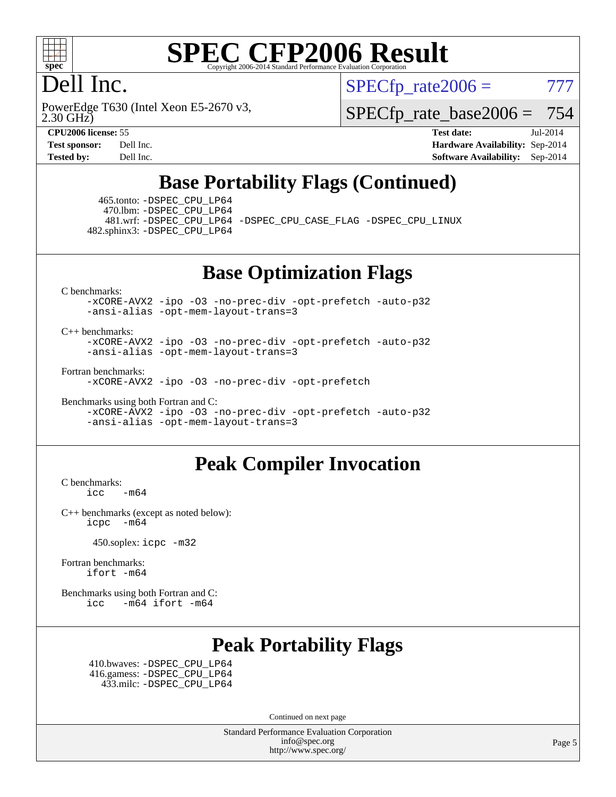

# Dell Inc.

2.30 GHz) PowerEdge T630 (Intel Xeon E5-2670 v3,  $SPECTp\_rate2006 = 777$ 

[SPECfp\\_rate\\_base2006 =](http://www.spec.org/auto/cpu2006/Docs/result-fields.html#SPECfpratebase2006) 754

**[CPU2006 license:](http://www.spec.org/auto/cpu2006/Docs/result-fields.html#CPU2006license)** 55 **[Test date:](http://www.spec.org/auto/cpu2006/Docs/result-fields.html#Testdate)** Jul-2014 **[Test sponsor:](http://www.spec.org/auto/cpu2006/Docs/result-fields.html#Testsponsor)** Dell Inc. **[Hardware Availability:](http://www.spec.org/auto/cpu2006/Docs/result-fields.html#HardwareAvailability)** Sep-2014 **[Tested by:](http://www.spec.org/auto/cpu2006/Docs/result-fields.html#Testedby)** Dell Inc. **[Software Availability:](http://www.spec.org/auto/cpu2006/Docs/result-fields.html#SoftwareAvailability)** Sep-2014

# **[Base Portability Flags \(Continued\)](http://www.spec.org/auto/cpu2006/Docs/result-fields.html#BasePortabilityFlags)**

 465.tonto: [-DSPEC\\_CPU\\_LP64](http://www.spec.org/cpu2006/results/res2014q3/cpu2006-20140909-31319.flags.html#suite_basePORTABILITY465_tonto_DSPEC_CPU_LP64) 470.lbm: [-DSPEC\\_CPU\\_LP64](http://www.spec.org/cpu2006/results/res2014q3/cpu2006-20140909-31319.flags.html#suite_basePORTABILITY470_lbm_DSPEC_CPU_LP64) 482.sphinx3: [-DSPEC\\_CPU\\_LP64](http://www.spec.org/cpu2006/results/res2014q3/cpu2006-20140909-31319.flags.html#suite_basePORTABILITY482_sphinx3_DSPEC_CPU_LP64)

481.wrf: [-DSPEC\\_CPU\\_LP64](http://www.spec.org/cpu2006/results/res2014q3/cpu2006-20140909-31319.flags.html#suite_basePORTABILITY481_wrf_DSPEC_CPU_LP64) [-DSPEC\\_CPU\\_CASE\\_FLAG](http://www.spec.org/cpu2006/results/res2014q3/cpu2006-20140909-31319.flags.html#b481.wrf_baseCPORTABILITY_DSPEC_CPU_CASE_FLAG) [-DSPEC\\_CPU\\_LINUX](http://www.spec.org/cpu2006/results/res2014q3/cpu2006-20140909-31319.flags.html#b481.wrf_baseCPORTABILITY_DSPEC_CPU_LINUX)

## **[Base Optimization Flags](http://www.spec.org/auto/cpu2006/Docs/result-fields.html#BaseOptimizationFlags)**

[C benchmarks](http://www.spec.org/auto/cpu2006/Docs/result-fields.html#Cbenchmarks):

[-xCORE-AVX2](http://www.spec.org/cpu2006/results/res2014q3/cpu2006-20140909-31319.flags.html#user_CCbase_f-xAVX2_5f5fc0cbe2c9f62c816d3e45806c70d7) [-ipo](http://www.spec.org/cpu2006/results/res2014q3/cpu2006-20140909-31319.flags.html#user_CCbase_f-ipo) [-O3](http://www.spec.org/cpu2006/results/res2014q3/cpu2006-20140909-31319.flags.html#user_CCbase_f-O3) [-no-prec-div](http://www.spec.org/cpu2006/results/res2014q3/cpu2006-20140909-31319.flags.html#user_CCbase_f-no-prec-div) [-opt-prefetch](http://www.spec.org/cpu2006/results/res2014q3/cpu2006-20140909-31319.flags.html#user_CCbase_f-opt-prefetch) [-auto-p32](http://www.spec.org/cpu2006/results/res2014q3/cpu2006-20140909-31319.flags.html#user_CCbase_f-auto-p32) [-ansi-alias](http://www.spec.org/cpu2006/results/res2014q3/cpu2006-20140909-31319.flags.html#user_CCbase_f-ansi-alias) [-opt-mem-layout-trans=3](http://www.spec.org/cpu2006/results/res2014q3/cpu2006-20140909-31319.flags.html#user_CCbase_f-opt-mem-layout-trans_a7b82ad4bd7abf52556d4961a2ae94d5)

#### [C++ benchmarks:](http://www.spec.org/auto/cpu2006/Docs/result-fields.html#CXXbenchmarks)

[-xCORE-AVX2](http://www.spec.org/cpu2006/results/res2014q3/cpu2006-20140909-31319.flags.html#user_CXXbase_f-xAVX2_5f5fc0cbe2c9f62c816d3e45806c70d7) [-ipo](http://www.spec.org/cpu2006/results/res2014q3/cpu2006-20140909-31319.flags.html#user_CXXbase_f-ipo) [-O3](http://www.spec.org/cpu2006/results/res2014q3/cpu2006-20140909-31319.flags.html#user_CXXbase_f-O3) [-no-prec-div](http://www.spec.org/cpu2006/results/res2014q3/cpu2006-20140909-31319.flags.html#user_CXXbase_f-no-prec-div) [-opt-prefetch](http://www.spec.org/cpu2006/results/res2014q3/cpu2006-20140909-31319.flags.html#user_CXXbase_f-opt-prefetch) [-auto-p32](http://www.spec.org/cpu2006/results/res2014q3/cpu2006-20140909-31319.flags.html#user_CXXbase_f-auto-p32) [-ansi-alias](http://www.spec.org/cpu2006/results/res2014q3/cpu2006-20140909-31319.flags.html#user_CXXbase_f-ansi-alias) [-opt-mem-layout-trans=3](http://www.spec.org/cpu2006/results/res2014q3/cpu2006-20140909-31319.flags.html#user_CXXbase_f-opt-mem-layout-trans_a7b82ad4bd7abf52556d4961a2ae94d5)

[Fortran benchmarks](http://www.spec.org/auto/cpu2006/Docs/result-fields.html#Fortranbenchmarks):

[-xCORE-AVX2](http://www.spec.org/cpu2006/results/res2014q3/cpu2006-20140909-31319.flags.html#user_FCbase_f-xAVX2_5f5fc0cbe2c9f62c816d3e45806c70d7) [-ipo](http://www.spec.org/cpu2006/results/res2014q3/cpu2006-20140909-31319.flags.html#user_FCbase_f-ipo) [-O3](http://www.spec.org/cpu2006/results/res2014q3/cpu2006-20140909-31319.flags.html#user_FCbase_f-O3) [-no-prec-div](http://www.spec.org/cpu2006/results/res2014q3/cpu2006-20140909-31319.flags.html#user_FCbase_f-no-prec-div) [-opt-prefetch](http://www.spec.org/cpu2006/results/res2014q3/cpu2006-20140909-31319.flags.html#user_FCbase_f-opt-prefetch)

[Benchmarks using both Fortran and C](http://www.spec.org/auto/cpu2006/Docs/result-fields.html#BenchmarksusingbothFortranandC):

[-xCORE-AVX2](http://www.spec.org/cpu2006/results/res2014q3/cpu2006-20140909-31319.flags.html#user_CC_FCbase_f-xAVX2_5f5fc0cbe2c9f62c816d3e45806c70d7) [-ipo](http://www.spec.org/cpu2006/results/res2014q3/cpu2006-20140909-31319.flags.html#user_CC_FCbase_f-ipo) [-O3](http://www.spec.org/cpu2006/results/res2014q3/cpu2006-20140909-31319.flags.html#user_CC_FCbase_f-O3) [-no-prec-div](http://www.spec.org/cpu2006/results/res2014q3/cpu2006-20140909-31319.flags.html#user_CC_FCbase_f-no-prec-div) [-opt-prefetch](http://www.spec.org/cpu2006/results/res2014q3/cpu2006-20140909-31319.flags.html#user_CC_FCbase_f-opt-prefetch) [-auto-p32](http://www.spec.org/cpu2006/results/res2014q3/cpu2006-20140909-31319.flags.html#user_CC_FCbase_f-auto-p32) [-ansi-alias](http://www.spec.org/cpu2006/results/res2014q3/cpu2006-20140909-31319.flags.html#user_CC_FCbase_f-ansi-alias) [-opt-mem-layout-trans=3](http://www.spec.org/cpu2006/results/res2014q3/cpu2006-20140909-31319.flags.html#user_CC_FCbase_f-opt-mem-layout-trans_a7b82ad4bd7abf52556d4961a2ae94d5)

### **[Peak Compiler Invocation](http://www.spec.org/auto/cpu2006/Docs/result-fields.html#PeakCompilerInvocation)**

[C benchmarks](http://www.spec.org/auto/cpu2006/Docs/result-fields.html#Cbenchmarks):  $\text{icc}$   $-\text{m64}$ 

[C++ benchmarks \(except as noted below\):](http://www.spec.org/auto/cpu2006/Docs/result-fields.html#CXXbenchmarksexceptasnotedbelow) [icpc -m64](http://www.spec.org/cpu2006/results/res2014q3/cpu2006-20140909-31319.flags.html#user_CXXpeak_intel_icpc_64bit_bedb90c1146cab66620883ef4f41a67e)

450.soplex: [icpc -m32](http://www.spec.org/cpu2006/results/res2014q3/cpu2006-20140909-31319.flags.html#user_peakCXXLD450_soplex_intel_icpc_4e5a5ef1a53fd332b3c49e69c3330699)

[Fortran benchmarks](http://www.spec.org/auto/cpu2006/Docs/result-fields.html#Fortranbenchmarks): [ifort -m64](http://www.spec.org/cpu2006/results/res2014q3/cpu2006-20140909-31319.flags.html#user_FCpeak_intel_ifort_64bit_ee9d0fb25645d0210d97eb0527dcc06e)

[Benchmarks using both Fortran and C](http://www.spec.org/auto/cpu2006/Docs/result-fields.html#BenchmarksusingbothFortranandC): [icc -m64](http://www.spec.org/cpu2006/results/res2014q3/cpu2006-20140909-31319.flags.html#user_CC_FCpeak_intel_icc_64bit_0b7121f5ab7cfabee23d88897260401c) [ifort -m64](http://www.spec.org/cpu2006/results/res2014q3/cpu2006-20140909-31319.flags.html#user_CC_FCpeak_intel_ifort_64bit_ee9d0fb25645d0210d97eb0527dcc06e)

# **[Peak Portability Flags](http://www.spec.org/auto/cpu2006/Docs/result-fields.html#PeakPortabilityFlags)**

 410.bwaves: [-DSPEC\\_CPU\\_LP64](http://www.spec.org/cpu2006/results/res2014q3/cpu2006-20140909-31319.flags.html#suite_peakPORTABILITY410_bwaves_DSPEC_CPU_LP64) 416.gamess: [-DSPEC\\_CPU\\_LP64](http://www.spec.org/cpu2006/results/res2014q3/cpu2006-20140909-31319.flags.html#suite_peakPORTABILITY416_gamess_DSPEC_CPU_LP64) 433.milc: [-DSPEC\\_CPU\\_LP64](http://www.spec.org/cpu2006/results/res2014q3/cpu2006-20140909-31319.flags.html#suite_peakPORTABILITY433_milc_DSPEC_CPU_LP64)

Continued on next page

Standard Performance Evaluation Corporation [info@spec.org](mailto:info@spec.org) <http://www.spec.org/>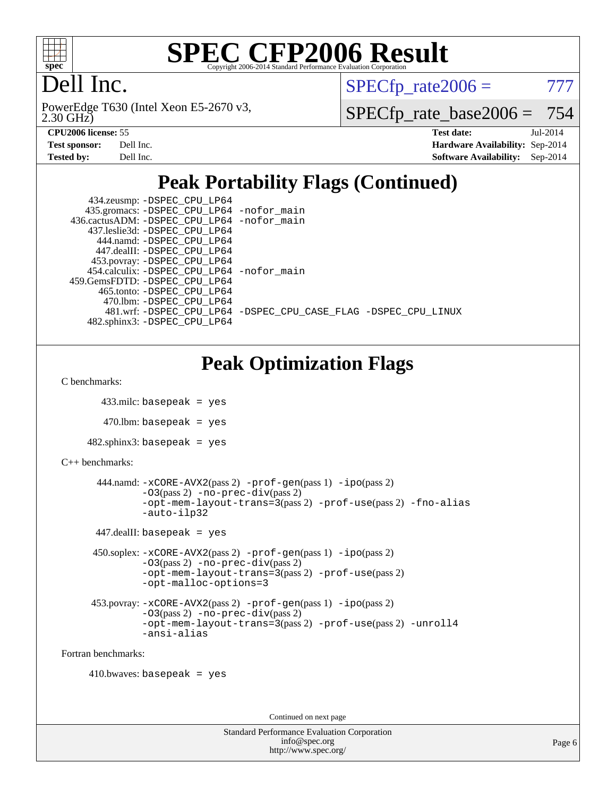

# Dell Inc.

2.30 GHz) PowerEdge T630 (Intel Xeon E5-2670 v3,  $SPECTp\_rate2006 = 777$ 

[SPECfp\\_rate\\_base2006 =](http://www.spec.org/auto/cpu2006/Docs/result-fields.html#SPECfpratebase2006) 754

| <b>Test sponsor:</b> | Dell Inc. |
|----------------------|-----------|
| Tested by:           | Dell Inc. |

**[CPU2006 license:](http://www.spec.org/auto/cpu2006/Docs/result-fields.html#CPU2006license)** 55 **[Test date:](http://www.spec.org/auto/cpu2006/Docs/result-fields.html#Testdate)** Jul-2014 **[Hardware Availability:](http://www.spec.org/auto/cpu2006/Docs/result-fields.html#HardwareAvailability)** Sep-2014 **[Software Availability:](http://www.spec.org/auto/cpu2006/Docs/result-fields.html#SoftwareAvailability)** Sep-2014

# **[Peak Portability Flags \(Continued\)](http://www.spec.org/auto/cpu2006/Docs/result-fields.html#PeakPortabilityFlags)**

| 434.zeusmp: - DSPEC_CPU_LP64               |                                                                |
|--------------------------------------------|----------------------------------------------------------------|
| 435.gromacs: -DSPEC_CPU_LP64 -nofor_main   |                                                                |
| 436.cactusADM: -DSPEC_CPU_LP64 -nofor_main |                                                                |
| 437.leslie3d: -DSPEC CPU LP64              |                                                                |
| 444.namd: -DSPEC CPU LP64                  |                                                                |
| 447.dealII: -DSPEC CPU LP64                |                                                                |
| 453.povray: -DSPEC_CPU_LP64                |                                                                |
| 454.calculix: -DSPEC CPU LP64 -nofor main  |                                                                |
| 459. GemsFDTD: - DSPEC CPU LP64            |                                                                |
| 465.tonto: -DSPEC CPU LP64                 |                                                                |
| 470.1bm: - DSPEC CPU LP64                  |                                                                |
|                                            | 481.wrf: -DSPEC CPU_LP64 -DSPEC_CPU_CASE_FLAG -DSPEC_CPU_LINUX |
| 482.sphinx3: -DSPEC CPU LP64               |                                                                |

# **[Peak Optimization Flags](http://www.spec.org/auto/cpu2006/Docs/result-fields.html#PeakOptimizationFlags)**

```
C benchmarks:
```

```
 433.milc: basepeak = yes
```

```
470.lbm: basepeak = yes
```

```
482.sphinx3: basepeak = yes
```

```
C++ benchmarks:
```

```
 444.namd: -xCORE-AVX2(pass 2) -prof-gen(pass 1) -ipo(pass 2)
         -O3(pass 2) -no-prec-div(pass 2)
         -opt-mem-layout-trans=3(pass 2) -prof-use(pass 2) -fno-alias
         -auto-ilp32
```
447.dealII: basepeak = yes

```
 450.soplex: -xCORE-AVX2(pass 2) -prof-gen(pass 1) -ipo(pass 2)
         -O3(pass 2) -no-prec-div(pass 2)
         -opt-mem-layout-trans=3(pass 2) -prof-use(pass 2)
         -opt-malloc-options=3
```

```
 453.povray: -xCORE-AVX2(pass 2) -prof-gen(pass 1) -ipo(pass 2)
          -O3(pass 2) -no-prec-div(pass 2)
          -opt-mem-layout-trans=3(pass 2) -prof-use(pass 2) -unroll4
          -ansi-alias
```
[Fortran benchmarks](http://www.spec.org/auto/cpu2006/Docs/result-fields.html#Fortranbenchmarks):

410.bwaves: basepeak = yes

Continued on next page

| <b>Standard Performance Evaluation Corporation</b> |
|----------------------------------------------------|
| info@spec.org                                      |
| http://www.spec.org/                               |